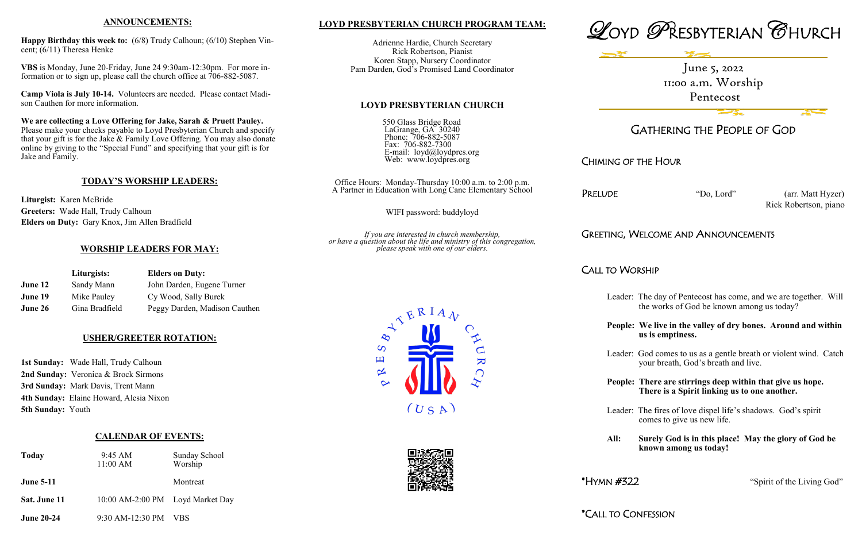## **LOYD PRESBYTERIAN CHURCH PROGRAM TEAM:**

Adrienne Hardie, Church Secretary Rick Robertson, Pianist Koren Stapp, Nursery Coordinator Pam Darden, God's Promised Land Coordinator

## **LOYD PRESBYTERIAN CHURCH**

550 Glass Bridge Road LaGrange, GA 30240 Phone: 706-882-5087 Fax: 706-882-7300 E-mail: loyd@loydpres.org Web: www.loydpres.org

> Office Hours: Monday-Thursday 10:00 a.m. to 2:00 p.m. A Partner in Education with Long Cane Elementary School

PRELUDE "Do, Lord" (arr. Matt Hyzer) Rick Robertson, piano

WIFI password: buddyloyd

*If you are interested in church membership, or have a question about the life and ministry of this congregation, please speak with one of our elders.*

 $\overline{\mathbf{K}}$ 

 $\overline{S}$ 凹

 $\propto$ 





# GATHERING THE PEOPLE OF GOD

CHIMING OF THE HOUR

# GREETING, WELCOME AND ANNOUNCEMENTS

CALL TO WORSHIP

Leader: The day of Pentecost has come, and we are together. Will the works of God be known among us today?

**People: We live in the valley of dry bones. Around and within us is emptiness.**

Leader: God comes to us as a gentle breath or violent wind. Catch your breath, God's breath and live.

**People: There are stirrings deep within that give us hope. There is a Spirit linking us to one another.**

Leader: The fires of love dispel life's shadows. God's spirit comes to give us new life.

**All: Surely God is in this place! May the glory of God be known among us today!**

\* $HYMN \#322$  "Spirit of the Living God"

\*CALL TO CONFESSION



 $(USA)$ 

## **ANNOUNCEMENTS:**

**Happy Birthday this week to:** (6/8) Trudy Calhoun; (6/10) Stephen Vincent; (6/11) Theresa Henke

**VBS** is Monday, June 20-Friday, June 24 9:30am-12:30pm. For more information or to sign up, please call the church office at 706-882-5087.

**Camp Viola is July 10-14.** Volunteers are needed. Please contact Madison Cauthen for more information.

**We are collecting a Love Offering for Jake, Sarah & Pruett Pauley.**  Please make your checks payable to Loyd Presbyterian Church and specify that your gift is for the Jake & Family Love Offering. You may also donate online by giving to the "Special Fund" and specifying that your gift is for Jake and Family.

## **TODAY'S WORSHIP LEADERS:**

**Liturgist:** Karen McBride **Greeters:** Wade Hall, Trudy Calhoun **Elders on Duty:** Gary Knox, Jim Allen Bradfield

## **WORSHIP LEADERS FOR MAY:**

|         | Liturgists:    | <b>Elders on Duty:</b>        |
|---------|----------------|-------------------------------|
| June 12 | Sandy Mann     | John Darden, Eugene Turner    |
| June 19 | Mike Pauley    | Cy Wood, Sally Burek          |
| June 26 | Gina Bradfield | Peggy Darden, Madison Cauthen |

## **USHER/GREETER ROTATION:**

**1st Sunday:** Wade Hall, Trudy Calhoun **2nd Sunday:** Veronica & Brock Sirmons **3rd Sunday:** Mark Davis, Trent Mann **4th Sunday:** Elaine Howard, Alesia Nixon **5th Sunday:** Youth

## **CALENDAR OF EVENTS:**

| <b>Today</b>     | 9:45 AM<br>11:00 AM              | Sunday School<br>Worship |
|------------------|----------------------------------|--------------------------|
| <b>June 5-11</b> |                                  | Montreat                 |
| Sat. June 11     | 10:00 AM-2:00 PM Loyd Market Day |                          |
|                  |                                  |                          |

## **June 20-24** 9:30 AM-12:30 PM VBS

June 5, 2022 11:00 a.m. Worship Pentecost